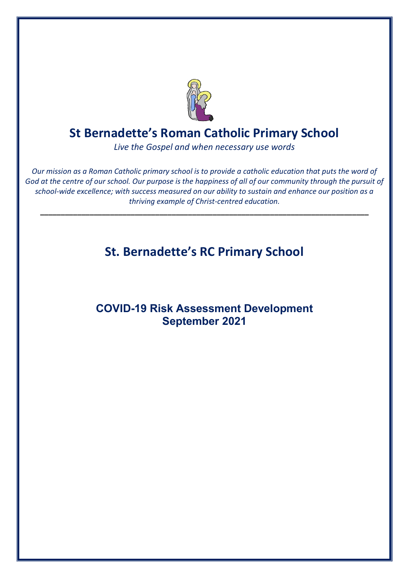

### **St Bernadette's Roman Catholic Primary School**

*Live the Gospel and when necessary use words*

*Our mission as a Roman Catholic primary school is to provide a catholic education that puts the word of God at the centre of our school. Our purpose is the happiness of all of our community through the pursuit of school-wide excellence; with success measured on our ability to sustain and enhance our position as a thriving example of Christ-centred education.*

**\_\_\_\_\_\_\_\_\_\_\_\_\_\_\_\_\_\_\_\_\_\_\_\_\_\_\_\_\_\_\_\_\_\_\_\_\_\_\_\_\_\_\_\_\_\_\_\_\_\_\_\_\_\_\_\_\_\_\_\_\_\_\_\_\_\_\_\_\_\_\_\_\_\_\_\_\_\_\_\_**

# **St. Bernadette's RC Primary School**

#### **COVID-19 Risk Assessment Development September 2021**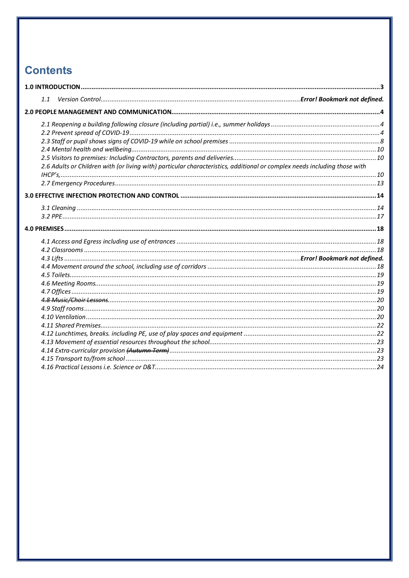## **Contents**

| 1.1                                                                                                                       |  |
|---------------------------------------------------------------------------------------------------------------------------|--|
|                                                                                                                           |  |
|                                                                                                                           |  |
|                                                                                                                           |  |
|                                                                                                                           |  |
|                                                                                                                           |  |
|                                                                                                                           |  |
| 2.6 Adults or Children with (or living with) particular characteristics, additional or complex needs including those with |  |
|                                                                                                                           |  |
|                                                                                                                           |  |
|                                                                                                                           |  |
|                                                                                                                           |  |
|                                                                                                                           |  |
|                                                                                                                           |  |
|                                                                                                                           |  |
|                                                                                                                           |  |
|                                                                                                                           |  |
|                                                                                                                           |  |
|                                                                                                                           |  |
|                                                                                                                           |  |
|                                                                                                                           |  |
|                                                                                                                           |  |
|                                                                                                                           |  |
|                                                                                                                           |  |
|                                                                                                                           |  |
|                                                                                                                           |  |
|                                                                                                                           |  |
|                                                                                                                           |  |
|                                                                                                                           |  |
|                                                                                                                           |  |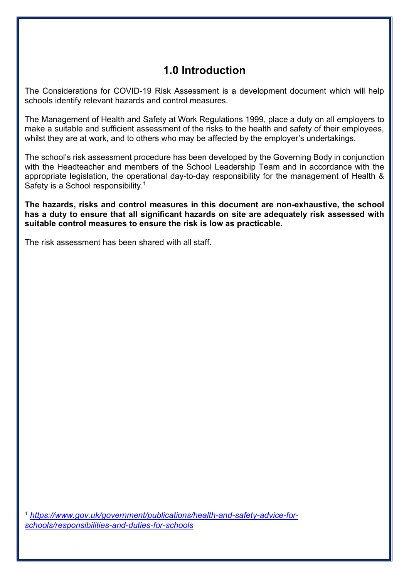### **1.0 Introduction**

The Considerations for COVID-19 Risk Assessment is a development document which will help schools identify relevant hazards and control measures.

The Management of Health and Safety at Work Regulations 1999, place a duty on all employers to make a suitable and sufficient assessment of the risks to the health and safety of their employees, whilst they are at work, and to others who may be affected by the employer's undertakings.

The school's risk assessment procedure has been developed by the Governing Body in conjunction with the Headteacher and members of the School Leadership Team and in accordance with the appropriate legislation, the operational day-to-day responsibility for the management of Health & Safety is a School responsibility.<sup>1</sup>

**The hazards, risks and control measures in this document are non-exhaustive, the school has a duty to ensure that all significant hazards on site are adequately risk assessed with suitable control measures to ensure the risk is low as practicable.**

The risk assessment has been shared with all staff.

*<sup>1</sup> https://www.gov.uk/government/publications/health-and-safety-advice-forschools/responsibilities-and-duties-for-schools*

1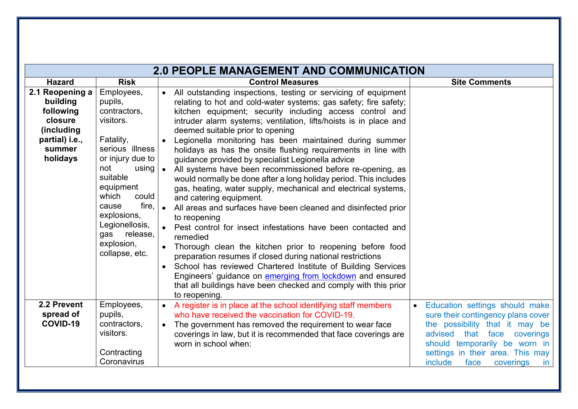|                                                                                                           |                                                                                                                                                                                                                                                                           | <b>2.0 PEOPLE MANAGEMENT AND COMMUNICATION</b>                                                                                                                                                                                                                                                                                                                                                                                                                                                                                                                                                                                                                                                                                                                                                                                                                                                                                                                                                                                                                                                                                                                                                                                                               |                                                                                                                                                                                                                                                                     |
|-----------------------------------------------------------------------------------------------------------|---------------------------------------------------------------------------------------------------------------------------------------------------------------------------------------------------------------------------------------------------------------------------|--------------------------------------------------------------------------------------------------------------------------------------------------------------------------------------------------------------------------------------------------------------------------------------------------------------------------------------------------------------------------------------------------------------------------------------------------------------------------------------------------------------------------------------------------------------------------------------------------------------------------------------------------------------------------------------------------------------------------------------------------------------------------------------------------------------------------------------------------------------------------------------------------------------------------------------------------------------------------------------------------------------------------------------------------------------------------------------------------------------------------------------------------------------------------------------------------------------------------------------------------------------|---------------------------------------------------------------------------------------------------------------------------------------------------------------------------------------------------------------------------------------------------------------------|
| <b>Hazard</b>                                                                                             | <b>Risk</b>                                                                                                                                                                                                                                                               | <b>Control Measures</b>                                                                                                                                                                                                                                                                                                                                                                                                                                                                                                                                                                                                                                                                                                                                                                                                                                                                                                                                                                                                                                                                                                                                                                                                                                      | <b>Site Comments</b>                                                                                                                                                                                                                                                |
| 2.1 Reopening a<br>building<br>following<br>closure<br>(including<br>partial) i.e.,<br>summer<br>holidays | Employees,<br>pupils,<br>contractors,<br>visitors.<br>Fatality,<br>serious illness<br>or injury due to<br>not<br>using  <br>suitable<br>equipment<br>which<br>could<br>fire.<br>cause<br>explosions,<br>Legionellosis,<br>release,<br>gas<br>explosion,<br>collapse, etc. | All outstanding inspections, testing or servicing of equipment<br>$\bullet$<br>relating to hot and cold-water systems; gas safety; fire safety;<br>kitchen equipment; security including access control and<br>intruder alarm systems; ventilation, lifts/hoists is in place and<br>deemed suitable prior to opening<br>Legionella monitoring has been maintained during summer<br>holidays as has the onsite flushing requirements in line with<br>guidance provided by specialist Legionella advice<br>All systems have been recommissioned before re-opening, as<br>would normally be done after a long holiday period. This includes<br>gas, heating, water supply, mechanical and electrical systems,<br>and catering equipment.<br>All areas and surfaces have been cleaned and disinfected prior<br>to reopening<br>Pest control for insect infestations have been contacted and<br>remedied<br>Thorough clean the kitchen prior to reopening before food<br>preparation resumes if closed during national restrictions<br>School has reviewed Chartered Institute of Building Services<br>$\bullet$<br>Engineers' guidance on emerging from lockdown and ensured<br>that all buildings have been checked and comply with this prior<br>to reopening. |                                                                                                                                                                                                                                                                     |
| 2.2 Prevent<br>spread of<br>COVID-19                                                                      | Employees,<br>pupils,<br>contractors,<br>visitors.<br>Contracting<br>Coronavirus                                                                                                                                                                                          | A register is in place at the school identifying staff members<br>$\bullet$<br>who have received the vaccination for COVID-19.<br>The government has removed the requirement to wear face<br>coverings in law, but it is recommended that face coverings are<br>worn in school when:                                                                                                                                                                                                                                                                                                                                                                                                                                                                                                                                                                                                                                                                                                                                                                                                                                                                                                                                                                         | Education settings should make<br>$\bullet$<br>sure their contingency plans cover<br>the possibility that it may be<br>advised<br>that face<br>coverings<br>should temporarily be worn in<br>settings in their area. This may<br>include<br>face<br>coverings<br>in |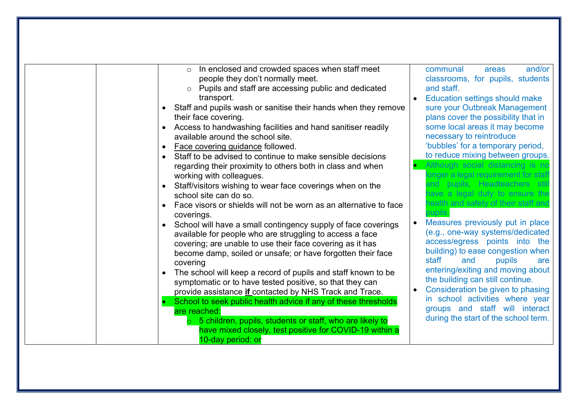| In enclosed and crowded spaces when staff meet<br>$\circ$         | and/or<br>communal<br>areas           |
|-------------------------------------------------------------------|---------------------------------------|
| people they don't normally meet.                                  | classrooms, for pupils, students      |
| Pupils and staff are accessing public and dedicated<br>$\circ$    | and staff.                            |
| transport.                                                        | <b>Education settings should make</b> |
| Staff and pupils wash or sanitise their hands when they remove    | sure your Outbreak Management         |
| their face covering.                                              | plans cover the possibility that in   |
| Access to handwashing facilities and hand sanitiser readily       | some local areas it may become        |
| available around the school site.                                 | necessary to reintroduce              |
| Face covering guidance followed.                                  | 'bubbles' for a temporary period,     |
| Staff to be advised to continue to make sensible decisions        | to reduce mixing between groups.      |
| regarding their proximity to others both in class and when        | Although social distancing is no      |
| working with colleagues.                                          | onger a legal requirement for staff   |
| Staff/visitors wishing to wear face coverings when on the         | and pupils, Headteachers stil         |
| school site can do so.                                            | have a legal duty to ensure the       |
| Face visors or shields will not be worn as an alternative to face | health and safety of their staff and  |
| coverings.                                                        | pupils.                               |
| School will have a small contingency supply of face coverings     | Measures previously put in place      |
| available for people who are struggling to access a face          | (e.g., one-way systems/dedicated      |
| covering; are unable to use their face covering as it has         | access/egress points into the         |
| become damp, soiled or unsafe; or have forgotten their face       | building) to ease congestion when     |
| covering                                                          | staff<br>and<br>pupils<br>are         |
| The school will keep a record of pupils and staff known to be     | entering/exiting and moving about     |
| symptomatic or to have tested positive, so that they can          | the building can still continue.      |
| provide assistance if contacted by NHS Track and Trace.           | Consideration be given to phasing     |
| School to seek public health advice if any of these thresholds    | in school activities where year       |
| are reached:                                                      | groups and staff will interact        |
| 5 children, pupils, students or staff, who are likely to          | during the start of the school term.  |
| have mixed closely, test positive for COVID-19 within a           |                                       |
| 10-day period: or                                                 |                                       |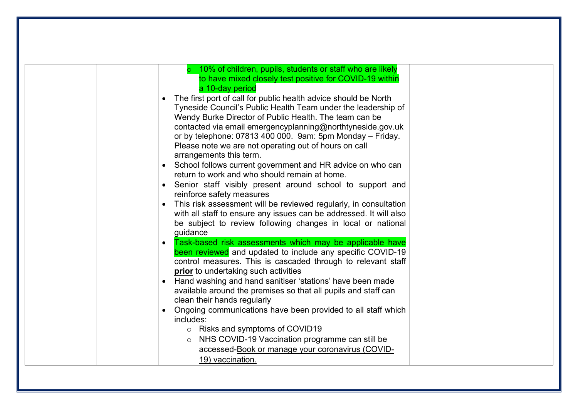| 10% of children, pupils, students or staff who are likely                        |
|----------------------------------------------------------------------------------|
| to have mixed closely test positive for COVID-19 within                          |
| a 10-day period                                                                  |
| The first port of call for public health advice should be North                  |
| Tyneside Council's Public Health Team under the leadership of                    |
| Wendy Burke Director of Public Health. The team can be                           |
| contacted via email emergencyplanning@northtyneside.gov.uk                       |
| or by telephone: 07813 400 000. 9am: 5pm Monday - Friday.                        |
| Please note we are not operating out of hours on call<br>arrangements this term. |
| • School follows current government and HR advice on who can                     |
| return to work and who should remain at home.                                    |
| Senior staff visibly present around school to support and                        |
| reinforce safety measures                                                        |
| This risk assessment will be reviewed regularly, in consultation                 |
| with all staff to ensure any issues can be addressed. It will also               |
| be subject to review following changes in local or national                      |
| guidance                                                                         |
| Task-based risk assessments which may be applicable have                         |
| been reviewed and updated to include any specific COVID-19                       |
| control measures. This is cascaded through to relevant staff                     |
| prior to undertaking such activities                                             |
| Hand washing and hand sanitiser 'stations' have been made                        |
| available around the premises so that all pupils and staff can                   |
| clean their hands regularly                                                      |
| Ongoing communications have been provided to all staff which                     |
| includes:                                                                        |
| o Risks and symptoms of COVID19                                                  |
| NHS COVID-19 Vaccination programme can still be<br>$\circ$                       |
| accessed-Book or manage your coronavirus (COVID-                                 |
| 19) vaccination.                                                                 |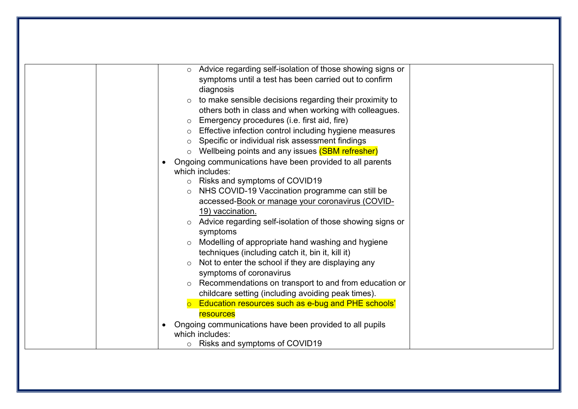| Advice regarding self-isolation of those showing signs or<br>$\circ$       |
|----------------------------------------------------------------------------|
| symptoms until a test has been carried out to confirm                      |
| diagnosis                                                                  |
| to make sensible decisions regarding their proximity to<br>$\circ$         |
| others both in class and when working with colleagues.                     |
| Emergency procedures (i.e. first aid, fire)<br>$\circ$                     |
| Effective infection control including hygiene measures<br>$\circ$          |
| Specific or individual risk assessment findings<br>$\circ$                 |
| Wellbeing points and any issues (SBM refresher)<br>$\circ$                 |
| Ongoing communications have been provided to all parents                   |
| which includes:                                                            |
| o Risks and symptoms of COVID19                                            |
| NHS COVID-19 Vaccination programme can still be<br>$\circ$                 |
| accessed-Book or manage your coronavirus (COVID-                           |
| 19) vaccination.                                                           |
| Advice regarding self-isolation of those showing signs or                  |
| symptoms                                                                   |
| Modelling of appropriate hand washing and hygiene                          |
| techniques (including catch it, bin it, kill it)                           |
| Not to enter the school if they are displaying any                         |
| symptoms of coronavirus                                                    |
| Recommendations on transport to and from education or<br>$\circ$           |
| childcare setting (including avoiding peak times).                         |
| Education resources such as e-bug and PHE schools'                         |
| resources                                                                  |
| Ongoing communications have been provided to all pupils<br>which includes: |
| Risks and symptoms of COVID19<br>$\circ$                                   |
|                                                                            |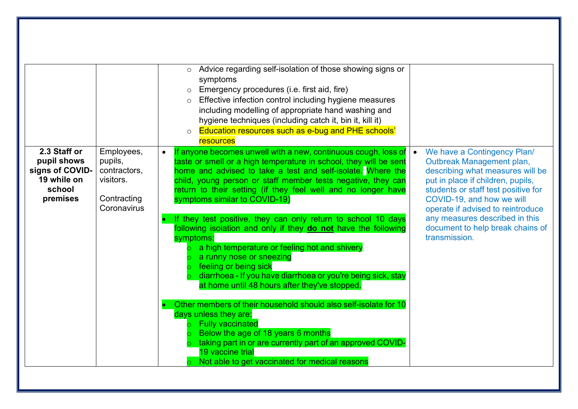|                                                                                     |                                                                                  | Advice regarding self-isolation of those showing signs or<br>$\circ$<br>symptoms<br>$\circ$ Emergency procedures (i.e. first aid, fire)<br>Effective infection control including hygiene measures<br>including modelling of appropriate hand washing and<br>hygiene techniques (including catch it, bin it, kill it)<br>Education resources such as e-bug and PHE schools'<br>$\circ$<br>resources                                                                                                                                                                                                                                                                                                                                                                                                                                                                                                                                                                                                                                            |                                                                                                                                                                                                                                                                                                                                   |
|-------------------------------------------------------------------------------------|----------------------------------------------------------------------------------|-----------------------------------------------------------------------------------------------------------------------------------------------------------------------------------------------------------------------------------------------------------------------------------------------------------------------------------------------------------------------------------------------------------------------------------------------------------------------------------------------------------------------------------------------------------------------------------------------------------------------------------------------------------------------------------------------------------------------------------------------------------------------------------------------------------------------------------------------------------------------------------------------------------------------------------------------------------------------------------------------------------------------------------------------|-----------------------------------------------------------------------------------------------------------------------------------------------------------------------------------------------------------------------------------------------------------------------------------------------------------------------------------|
| 2.3 Staff or<br>pupil shows<br>signs of COVID-<br>19 while on<br>school<br>premises | Employees,<br>pupils,<br>contractors,<br>visitors.<br>Contracting<br>Coronavirus | If anyone becomes unwell with a new, continuous cough, loss of<br>taste or smell or a high temperature in school, they will be sent<br>home and advised to take a test and self-isolate. Where the<br>child, young person or staff member tests negative, they can<br>return to their setting (if they feel well and no longer have<br>symptoms similar to COVID-19)<br>If they test positive, they can only return to school 10 days<br>following isolation and only if they do not have the following<br>symptoms:<br>a high temperature or feeling hot and shivery<br>a runny nose or sneezing<br>feeling or being sick<br>diarrhoea - If you have diarrhoea or you're being sick, stay<br>at home until 48 hours after they've stopped.<br>Other members of their household should also self-isolate for 10<br>days unless they are:<br><b>Fully vaccinated</b><br>Below the age of 18 years 6 months<br>taking part in or are currently part of an approved COVID-<br>19 vaccine trial<br>Not able to get vaccinated for medical reasons | We have a Contingency Plan/<br>Outbreak Management plan,<br>describing what measures will be<br>put in place if children, pupils,<br>students or staff test positive for<br>COVID-19, and how we will<br>operate if advised to reintroduce<br>any measures described in this<br>document to help break chains of<br>transmission. |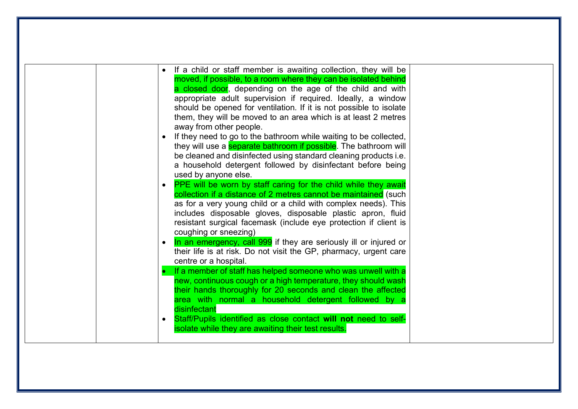| If a child or staff member is awaiting collection, they will be<br>moved, if possible, to a room where they can be isolated behind<br>a closed door, depending on the age of the child and with<br>appropriate adult supervision if required. Ideally, a window<br>should be opened for ventilation. If it is not possible to isolate<br>them, they will be moved to an area which is at least 2 metres<br>away from other people.<br>If they need to go to the bathroom while waiting to be collected,                             |  |
|-------------------------------------------------------------------------------------------------------------------------------------------------------------------------------------------------------------------------------------------------------------------------------------------------------------------------------------------------------------------------------------------------------------------------------------------------------------------------------------------------------------------------------------|--|
| they will use a <b>separate bathroom if possible</b> . The bathroom will<br>be cleaned and disinfected using standard cleaning products i.e.<br>a household detergent followed by disinfectant before being<br>used by anyone else.                                                                                                                                                                                                                                                                                                 |  |
| PPE will be worn by staff caring for the child while they await<br>collection if a distance of 2 metres cannot be maintained (such<br>as for a very young child or a child with complex needs). This<br>includes disposable gloves, disposable plastic apron, fluid<br>resistant surgical facemask (include eye protection if client is<br>coughing or sneezing)<br>In an emergency, call 999 if they are seriously ill or injured or<br>their life is at risk. Do not visit the GP, pharmacy, urgent care<br>centre or a hospital. |  |
| If a member of staff has helped someone who was unwell with a<br>new, continuous cough or a high temperature, they should wash<br>their hands thoroughly for 20 seconds and clean the affected<br>area with normal a household detergent followed by a<br>disinfectant<br>Staff/Pupils identified as close contact will not need to self-<br>isolate while they are awaiting their test results.                                                                                                                                    |  |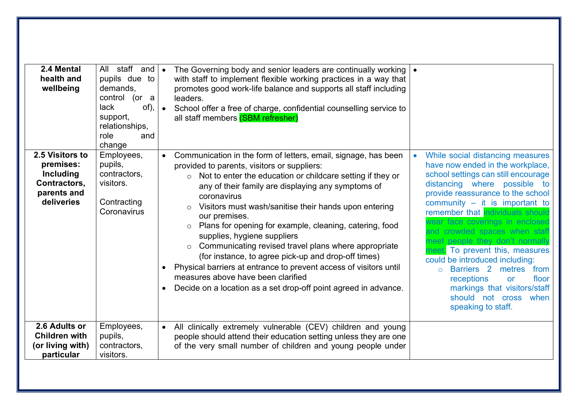| 2.4 Mental<br>health and<br>wellbeing                                                  | All staff and<br>pupils due to<br>demands,<br>control<br>$($ or a<br>lack<br>of),<br>support,<br>relationships,<br>role<br>and<br>change | The Governing body and senior leaders are continually working<br>$\bullet$<br>with staff to implement flexible working practices in a way that<br>promotes good work-life balance and supports all staff including<br>leaders.<br>$\bullet$<br>School offer a free of charge, confidential counselling service to<br>all staff members (SBM refresher)                                                                                                                                                                                                                                                                                                                                                                                  |                                                                                                                                                                                                                                                                                                                                                                                                                                                                                                                                                                                                       |
|----------------------------------------------------------------------------------------|------------------------------------------------------------------------------------------------------------------------------------------|-----------------------------------------------------------------------------------------------------------------------------------------------------------------------------------------------------------------------------------------------------------------------------------------------------------------------------------------------------------------------------------------------------------------------------------------------------------------------------------------------------------------------------------------------------------------------------------------------------------------------------------------------------------------------------------------------------------------------------------------|-------------------------------------------------------------------------------------------------------------------------------------------------------------------------------------------------------------------------------------------------------------------------------------------------------------------------------------------------------------------------------------------------------------------------------------------------------------------------------------------------------------------------------------------------------------------------------------------------------|
| 2.5 Visitors to<br>premises:<br>Including<br>Contractors,<br>parents and<br>deliveries | Employees,<br>pupils,<br>contractors,<br>visitors.<br>Contracting<br>Coronavirus                                                         | Communication in the form of letters, email, signage, has been<br>provided to parents, visitors or suppliers:<br>Not to enter the education or childcare setting if they or<br>$\circ$<br>any of their family are displaying any symptoms of<br>coronavirus<br>Visitors must wash/sanitise their hands upon entering<br>our premises.<br>Plans for opening for example, cleaning, catering, food<br>supplies, hygiene suppliers<br>Communicating revised travel plans where appropriate<br>$\circ$<br>(for instance, to agree pick-up and drop-off times)<br>Physical barriers at entrance to prevent access of visitors until<br>measures above have been clarified<br>Decide on a location as a set drop-off point agreed in advance. | While social distancing measures<br>have now ended in the workplace,<br>school settings can still encourage<br>distancing where possible to<br>provide reassurance to the school<br>community $-$ it is important to<br>remember that ndividuals should<br>wear face coverings in enclosed<br>and crowded spaces when staf<br>meet people they don't normall<br>To prevent this, measures<br>could be introduced including:<br>Barriers <sub>2</sub><br>metres<br>from<br>$\Omega$<br>receptions<br>floor<br><b>or</b><br>markings that visitors/staff<br>should not cross when<br>speaking to staff. |
| 2.6 Adults or<br><b>Children with</b><br>(or living with)<br>particular                | Employees,<br>pupils,<br>contractors,<br>visitors.                                                                                       | All clinically extremely vulnerable (CEV) children and young<br>people should attend their education setting unless they are one<br>of the very small number of children and young people under                                                                                                                                                                                                                                                                                                                                                                                                                                                                                                                                         |                                                                                                                                                                                                                                                                                                                                                                                                                                                                                                                                                                                                       |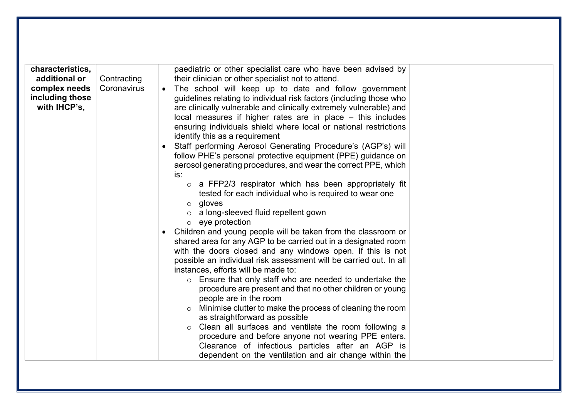| characteristics,<br>additional or                | Contracting | paediatric or other specialist care who have been advised by<br>their clinician or other specialist not to attend.                                                                                                                                                                                                                                                                                                                                                                                                                                                                            |
|--------------------------------------------------|-------------|-----------------------------------------------------------------------------------------------------------------------------------------------------------------------------------------------------------------------------------------------------------------------------------------------------------------------------------------------------------------------------------------------------------------------------------------------------------------------------------------------------------------------------------------------------------------------------------------------|
| complex needs<br>including those<br>with IHCP's, | Coronavirus | The school will keep up to date and follow government<br>guidelines relating to individual risk factors (including those who<br>are clinically vulnerable and clinically extremely vulnerable) and<br>local measures if higher rates are in place $-$ this includes<br>ensuring individuals shield where local or national restrictions<br>identify this as a requirement                                                                                                                                                                                                                     |
|                                                  |             | Staff performing Aerosol Generating Procedure's (AGP's) will<br>follow PHE's personal protective equipment (PPE) guidance on<br>aerosol generating procedures, and wear the correct PPE, which<br>is:                                                                                                                                                                                                                                                                                                                                                                                         |
|                                                  |             | $\circ$ a FFP2/3 respirator which has been appropriately fit<br>tested for each individual who is required to wear one<br>$\circ$ gloves<br>a long-sleeved fluid repellent gown<br>$\circ$<br>$\circ$ eye protection                                                                                                                                                                                                                                                                                                                                                                          |
|                                                  |             | Children and young people will be taken from the classroom or<br>$\bullet$<br>shared area for any AGP to be carried out in a designated room<br>with the doors closed and any windows open. If this is not<br>possible an individual risk assessment will be carried out. In all<br>instances, efforts will be made to:<br>Ensure that only staff who are needed to undertake the<br>$\circ$<br>procedure are present and that no other children or young<br>people are in the room<br>Minimise clutter to make the process of cleaning the room<br>$\circ$<br>as straightforward as possible |
|                                                  |             | Clean all surfaces and ventilate the room following a<br>procedure and before anyone not wearing PPE enters.<br>Clearance of infectious particles after an AGP is<br>dependent on the ventilation and air change within the                                                                                                                                                                                                                                                                                                                                                                   |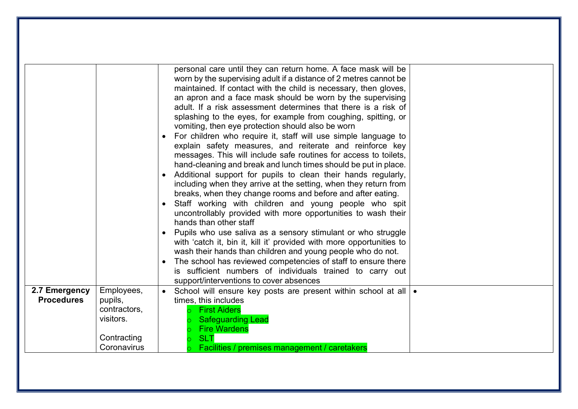|                                    |                                                                                  | worn by the supervising adult if a distance of 2 metres cannot be<br>maintained. If contact with the child is necessary, then gloves,<br>an apron and a face mask should be worn by the supervising<br>adult. If a risk assessment determines that there is a risk of<br>splashing to the eyes, for example from coughing, spitting, or<br>vomiting, then eye protection should also be worn<br>For children who require it, staff will use simple language to<br>explain safety measures, and reiterate and reinforce key<br>messages. This will include safe routines for access to toilets,<br>hand-cleaning and break and lunch times should be put in place.<br>• Additional support for pupils to clean their hands regularly,<br>including when they arrive at the setting, when they return from<br>breaks, when they change rooms and before and after eating.<br>• Staff working with children and young people who spit<br>uncontrollably provided with more opportunities to wash their<br>hands than other staff<br>• Pupils who use saliva as a sensory stimulant or who struggle<br>with 'catch it, bin it, kill it' provided with more opportunities to<br>wash their hands than children and young people who do not.<br>The school has reviewed competencies of staff to ensure there<br>is sufficient numbers of individuals trained to carry out<br>support/interventions to cover absences |
|------------------------------------|----------------------------------------------------------------------------------|-----------------------------------------------------------------------------------------------------------------------------------------------------------------------------------------------------------------------------------------------------------------------------------------------------------------------------------------------------------------------------------------------------------------------------------------------------------------------------------------------------------------------------------------------------------------------------------------------------------------------------------------------------------------------------------------------------------------------------------------------------------------------------------------------------------------------------------------------------------------------------------------------------------------------------------------------------------------------------------------------------------------------------------------------------------------------------------------------------------------------------------------------------------------------------------------------------------------------------------------------------------------------------------------------------------------------------------------------------------------------------------------------------------------|
| 2.7 Emergency<br><b>Procedures</b> | Employees,<br>pupils,<br>contractors,<br>visitors.<br>Contracting<br>Coronavirus | School will ensure key posts are present within school at all   •<br>times, this includes<br><b>First Aiders</b><br><b>Safeguarding Lead</b><br><b>Fire Wardens</b><br><b>SLT</b><br>Facilities / premises management / caretakers                                                                                                                                                                                                                                                                                                                                                                                                                                                                                                                                                                                                                                                                                                                                                                                                                                                                                                                                                                                                                                                                                                                                                                              |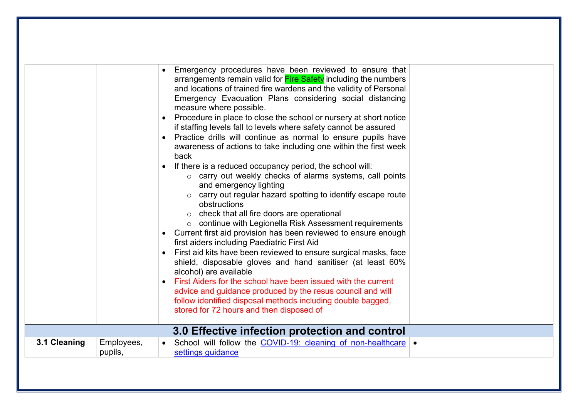|         | Emergency procedures have been reviewed to ensure that<br>arrangements remain valid for Fire Safety including the numbers<br>and locations of trained fire wardens and the validity of Personal<br>Emergency Evacuation Plans considering social distancing<br>measure where possible.<br>Procedure in place to close the school or nursery at short notice<br>if staffing levels fall to levels where safety cannot be assured                                                                                                                                                                                                                                                                                                                                                                                                                                                                                                                                                                              |
|---------|--------------------------------------------------------------------------------------------------------------------------------------------------------------------------------------------------------------------------------------------------------------------------------------------------------------------------------------------------------------------------------------------------------------------------------------------------------------------------------------------------------------------------------------------------------------------------------------------------------------------------------------------------------------------------------------------------------------------------------------------------------------------------------------------------------------------------------------------------------------------------------------------------------------------------------------------------------------------------------------------------------------|
|         | Practice drills will continue as normal to ensure pupils have<br>awareness of actions to take including one within the first week<br>back<br>If there is a reduced occupancy period, the school will:<br>o carry out weekly checks of alarms systems, call points<br>and emergency lighting<br>o carry out regular hazard spotting to identify escape route<br>obstructions<br>o check that all fire doors are operational<br>o continue with Legionella Risk Assessment requirements<br>Current first aid provision has been reviewed to ensure enough<br>first aiders including Paediatric First Aid<br>First aid kits have been reviewed to ensure surgical masks, face<br>shield, disposable gloves and hand sanitiser (at least 60%<br>alcohol) are available<br>First Aiders for the school have been issued with the current<br>advice and guidance produced by the resus council and will<br>follow identified disposal methods including double bagged,<br>stored for 72 hours and then disposed of |
|         | 3.0 Effective infection protection and control                                                                                                                                                                                                                                                                                                                                                                                                                                                                                                                                                                                                                                                                                                                                                                                                                                                                                                                                                               |
|         | School will follow the COVID-19: cleaning of non-healthcare .                                                                                                                                                                                                                                                                                                                                                                                                                                                                                                                                                                                                                                                                                                                                                                                                                                                                                                                                                |
| pupils, | settings guidance                                                                                                                                                                                                                                                                                                                                                                                                                                                                                                                                                                                                                                                                                                                                                                                                                                                                                                                                                                                            |
|         | Employees,                                                                                                                                                                                                                                                                                                                                                                                                                                                                                                                                                                                                                                                                                                                                                                                                                                                                                                                                                                                                   |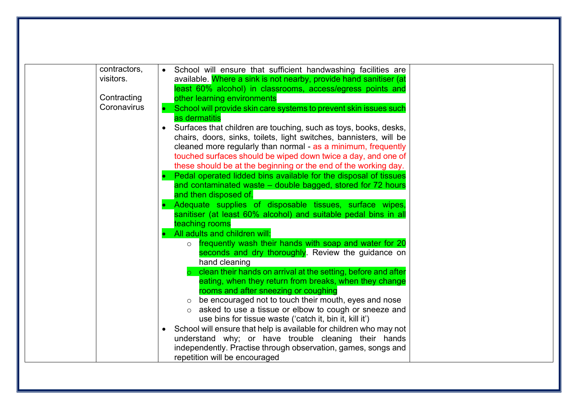| contractors,<br>visitors. | School will ensure that sufficient handwashing facilities are<br>$\bullet$                                                       |  |
|---------------------------|----------------------------------------------------------------------------------------------------------------------------------|--|
|                           | available. Where a sink is not nearby, provide hand sanitiser (at<br>least 60% alcohol) in classrooms, access/egress points and  |  |
| Contracting               | other learning environments                                                                                                      |  |
| Coronavirus               | School will provide skin care systems to prevent skin issues such                                                                |  |
|                           | as dermatitis                                                                                                                    |  |
|                           | Surfaces that children are touching, such as toys, books, desks,                                                                 |  |
|                           | chairs, doors, sinks, toilets, light switches, bannisters, will be                                                               |  |
|                           | cleaned more regularly than normal - as a minimum, frequently                                                                    |  |
|                           | touched surfaces should be wiped down twice a day, and one of<br>these should be at the beginning or the end of the working day. |  |
|                           | Pedal operated lidded bins available for the disposal of tissues                                                                 |  |
|                           | and contaminated waste – double bagged, stored for 72 hours                                                                      |  |
|                           | and then disposed of.                                                                                                            |  |
|                           | Adequate supplies of disposable tissues, surface wipes,                                                                          |  |
|                           | sanitiser (at least 60% alcohol) and suitable pedal bins in all                                                                  |  |
|                           | teaching rooms<br>All adults and children will:                                                                                  |  |
|                           | frequently wash their hands with soap and water for 20<br>$\circ$                                                                |  |
|                           | seconds and dry thoroughly. Review the guidance on                                                                               |  |
|                           | hand cleaning                                                                                                                    |  |
|                           | clean their hands on arrival at the setting, before and after                                                                    |  |
|                           | eating, when they return from breaks, when they change                                                                           |  |
|                           | rooms and after sneezing or coughing                                                                                             |  |
|                           | $\circ$ be encouraged not to touch their mouth, eyes and nose<br>asked to use a tissue or elbow to cough or sneeze and           |  |
|                           | use bins for tissue waste ('catch it, bin it, kill it')                                                                          |  |
|                           | School will ensure that help is available for children who may not                                                               |  |
|                           | understand why; or have trouble cleaning their hands                                                                             |  |
|                           | independently. Practise through observation, games, songs and                                                                    |  |
|                           | repetition will be encouraged                                                                                                    |  |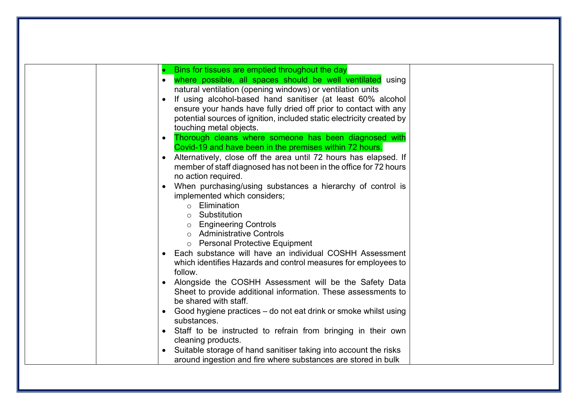| Bins for tissues are emptied throughout the day<br>where possible, all spaces should be well ventilated using<br>natural ventilation (opening windows) or ventilation units<br>If using alcohol-based hand sanitiser (at least 60% alcohol<br>ensure your hands have fully dried off prior to contact with any<br>potential sources of ignition, included static electricity created by<br>touching metal objects.<br>Thorough cleans where someone has been diagnosed with<br>$\bullet$<br>Covid-19 and have been in the premises within 72 hours.<br>Alternatively, close off the area until 72 hours has elapsed. If<br>$\bullet$<br>member of staff diagnosed has not been in the office for 72 hours<br>no action required.<br>When purchasing/using substances a hierarchy of control is<br>$\bullet$<br>implemented which considers;<br>Elimination<br>Substitution<br>$\bigcirc$<br><b>Engineering Controls</b><br>$\circ$<br><b>Administrative Controls</b><br><b>Personal Protective Equipment</b><br>Each substance will have an individual COSHH Assessment<br>which identifies Hazards and control measures for employees to<br>follow. |
|------------------------------------------------------------------------------------------------------------------------------------------------------------------------------------------------------------------------------------------------------------------------------------------------------------------------------------------------------------------------------------------------------------------------------------------------------------------------------------------------------------------------------------------------------------------------------------------------------------------------------------------------------------------------------------------------------------------------------------------------------------------------------------------------------------------------------------------------------------------------------------------------------------------------------------------------------------------------------------------------------------------------------------------------------------------------------------------------------------------------------------------------------|
| Alongside the COSHH Assessment will be the Safety Data<br>Sheet to provide additional information. These assessments to<br>be shared with staff.                                                                                                                                                                                                                                                                                                                                                                                                                                                                                                                                                                                                                                                                                                                                                                                                                                                                                                                                                                                                     |
| Good hygiene practices – do not eat drink or smoke whilst using<br>٠<br>substances.<br>Staff to be instructed to refrain from bringing in their own<br>cleaning products.<br>Suitable storage of hand sanitiser taking into account the risks<br>around ingestion and fire where substances are stored in bulk                                                                                                                                                                                                                                                                                                                                                                                                                                                                                                                                                                                                                                                                                                                                                                                                                                       |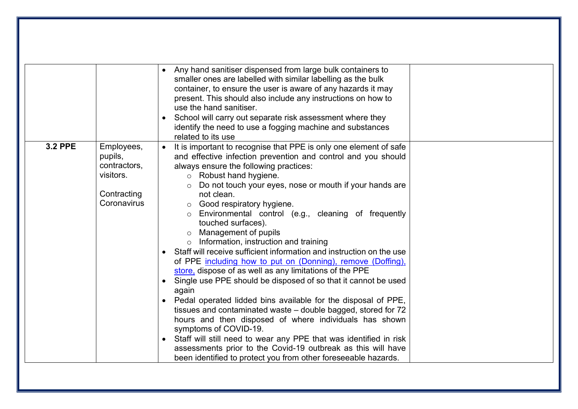|                |                                                                                  | Any hand sanitiser dispensed from large bulk containers to<br>smaller ones are labelled with similar labelling as the bulk<br>container, to ensure the user is aware of any hazards it may<br>present. This should also include any instructions on how to<br>use the hand sanitiser.<br>School will carry out separate risk assessment where they<br>identify the need to use a fogging machine and substances<br>related to its use                                                                                                                                                                                                                                                                                                                                                                                                                                                                                                                                                                                                                                                                                                                                                                                                          |
|----------------|----------------------------------------------------------------------------------|------------------------------------------------------------------------------------------------------------------------------------------------------------------------------------------------------------------------------------------------------------------------------------------------------------------------------------------------------------------------------------------------------------------------------------------------------------------------------------------------------------------------------------------------------------------------------------------------------------------------------------------------------------------------------------------------------------------------------------------------------------------------------------------------------------------------------------------------------------------------------------------------------------------------------------------------------------------------------------------------------------------------------------------------------------------------------------------------------------------------------------------------------------------------------------------------------------------------------------------------|
| <b>3.2 PPE</b> | Employees,<br>pupils,<br>contractors,<br>visitors.<br>Contracting<br>Coronavirus | It is important to recognise that PPE is only one element of safe<br>and effective infection prevention and control and you should<br>always ensure the following practices:<br>Robust hand hygiene.<br>$\circ$<br>Do not touch your eyes, nose or mouth if your hands are<br>$\circ$<br>not clean.<br>$\circ$ Good respiratory hygiene.<br>Environmental control (e.g., cleaning of frequently<br>$\circ$<br>touched surfaces).<br>Management of pupils<br>$\circ$ Information, instruction and training<br>Staff will receive sufficient information and instruction on the use<br>$\bullet$<br>of PPE including how to put on (Donning), remove (Doffing),<br>store, dispose of as well as any limitations of the PPE<br>Single use PPE should be disposed of so that it cannot be used<br>$\bullet$<br>again<br>Pedal operated lidded bins available for the disposal of PPE,<br>tissues and contaminated waste – double bagged, stored for 72<br>hours and then disposed of where individuals has shown<br>symptoms of COVID-19.<br>• Staff will still need to wear any PPE that was identified in risk<br>assessments prior to the Covid-19 outbreak as this will have<br>been identified to protect you from other foreseeable hazards. |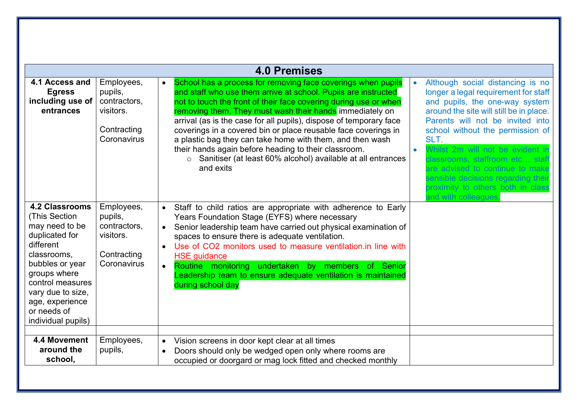|                                                                                                                                                                                                                                             |                                                                                  | <b>4.0 Premises</b>                                                                                                                                                                                                                                                                                                                                                                                                                                                                                                                                                                                                                                                                                                                                                                                                                                                                                                                                                                                                                                                   |
|---------------------------------------------------------------------------------------------------------------------------------------------------------------------------------------------------------------------------------------------|----------------------------------------------------------------------------------|-----------------------------------------------------------------------------------------------------------------------------------------------------------------------------------------------------------------------------------------------------------------------------------------------------------------------------------------------------------------------------------------------------------------------------------------------------------------------------------------------------------------------------------------------------------------------------------------------------------------------------------------------------------------------------------------------------------------------------------------------------------------------------------------------------------------------------------------------------------------------------------------------------------------------------------------------------------------------------------------------------------------------------------------------------------------------|
| 4.1 Access and<br><b>Egress</b><br>including use of<br>entrances                                                                                                                                                                            | Employees,<br>pupils,<br>contractors,<br>visitors.<br>Contracting<br>Coronavirus | School has a process for removing face coverings when pupils<br>Although social distancing is no<br>and staff who use them arrive at school. Pupils are instructed<br>longer a legal requirement for staff<br>not to touch the front of their face covering during use or when<br>and pupils, the one-way system<br>removing them. They must wash their hands immediately on<br>around the site will still be in place.<br>arrival (as is the case for all pupils), dispose of temporary face<br>Parents will not be invited into<br>coverings in a covered bin or place reusable face coverings in<br>school without the permission of<br>a plastic bag they can take home with them, and then wash<br>SLT.<br>their hands again before heading to their classroom.<br>Whilst 2m will not be evident in<br>Sanitiser (at least 60% alcohol) available at all entrances<br>$\circ$<br>classrooms, staffroom etc staf<br>and exits<br>are advised to continue to make<br>sensible decisions regarding thei<br>proximity to others both in class<br>and with colleagues |
| <b>4.2 Classrooms</b><br>(This Section)<br>may need to be<br>duplicated for<br>different<br>classrooms.<br>bubbles or year<br>groups where<br>control measures<br>vary due to size,<br>age, experience<br>or needs of<br>individual pupils) | Employees,<br>pupils,<br>contractors,<br>visitors.<br>Contracting<br>Coronavirus | Staff to child ratios are appropriate with adherence to Early<br>Years Foundation Stage (EYFS) where necessary<br>Senior leadership team have carried out physical examination of<br>spaces to ensure there is adequate ventilation.<br>Use of CO2 monitors used to measure ventilation in line with<br>$\bullet$<br><b>HSE</b> guidance<br>Routine monitoring undertaken by members of Senior<br>Leadership team to ensure adequate ventilation is maintained<br>during school day                                                                                                                                                                                                                                                                                                                                                                                                                                                                                                                                                                                   |
| 4.4 Movement<br>around the<br>school,                                                                                                                                                                                                       | Employees,<br>pupils,                                                            | Vision screens in door kept clear at all times<br>$\bullet$<br>Doors should only be wedged open only where rooms are<br>occupied or doorgard or mag lock fitted and checked monthly                                                                                                                                                                                                                                                                                                                                                                                                                                                                                                                                                                                                                                                                                                                                                                                                                                                                                   |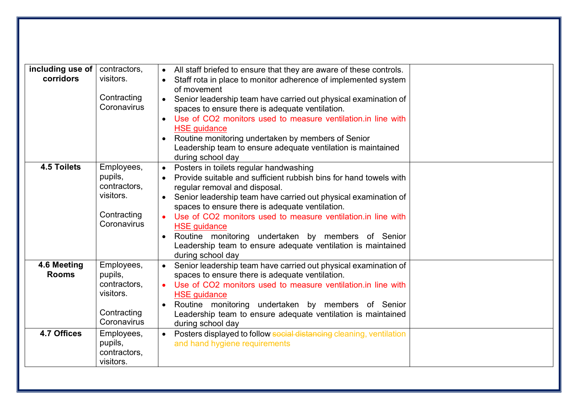| including use of   | contractors,            | All staff briefed to ensure that they are aware of these controls.             |
|--------------------|-------------------------|--------------------------------------------------------------------------------|
| corridors          | visitors.               | Staff rota in place to monitor adherence of implemented system<br>of movement  |
|                    | Contracting             | Senior leadership team have carried out physical examination of                |
|                    | Coronavirus             | spaces to ensure there is adequate ventilation.                                |
|                    |                         | Use of CO2 monitors used to measure ventilation.in line with<br>$\bullet$      |
|                    |                         | <b>HSE</b> guidance                                                            |
|                    |                         | Routine monitoring undertaken by members of Senior<br>$\bullet$                |
|                    |                         | Leadership team to ensure adequate ventilation is maintained                   |
|                    |                         | during school day                                                              |
| <b>4.5 Toilets</b> | Employees,              | Posters in toilets regular handwashing<br>$\bullet$                            |
|                    | pupils,                 | Provide suitable and sufficient rubbish bins for hand towels with<br>$\bullet$ |
|                    | contractors,            | regular removal and disposal.                                                  |
|                    | visitors.               | Senior leadership team have carried out physical examination of<br>$\bullet$   |
|                    |                         | spaces to ensure there is adequate ventilation.                                |
|                    | Contracting             | Use of CO2 monitors used to measure ventilation.in line with                   |
|                    | Coronavirus             | <b>HSE</b> guidance                                                            |
|                    |                         | Routine monitoring undertaken by members of Senior<br>$\bullet$                |
|                    |                         | Leadership team to ensure adequate ventilation is maintained                   |
|                    |                         | during school day                                                              |
| 4.6 Meeting        | Employees,              | Senior leadership team have carried out physical examination of                |
| <b>Rooms</b>       | pupils,                 | spaces to ensure there is adequate ventilation.                                |
|                    | contractors.            | Use of CO2 monitors used to measure ventilation. in line with<br>$\bullet$     |
|                    | visitors.               | <b>HSE</b> guidance                                                            |
|                    | Contracting             | Routine monitoring undertaken by members of Senior<br>$\bullet$                |
|                    | Coronavirus             | Leadership team to ensure adequate ventilation is maintained                   |
|                    |                         | during school day                                                              |
| 4.7 Offices        | Employees,              | Posters displayed to follow social distancing cleaning, ventilation            |
|                    | pupils,<br>contractors, | and hand hygiene requirements                                                  |
|                    | visitors.               |                                                                                |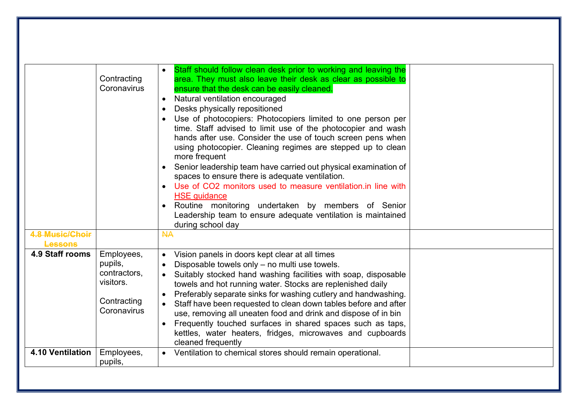|                                   | Contracting<br>Coronavirus                                                       | Staff should follow clean desk prior to working and leaving the<br>area. They must also leave their desk as clear as possible to<br>ensure that the desk can be easily cleaned.<br>Natural ventilation encouraged<br>$\bullet$<br>Desks physically repositioned<br>$\bullet$<br>Use of photocopiers: Photocopiers limited to one person per<br>time. Staff advised to limit use of the photocopier and wash<br>hands after use. Consider the use of touch screen pens when<br>using photocopier. Cleaning regimes are stepped up to clean<br>more frequent<br>Senior leadership team have carried out physical examination of<br>spaces to ensure there is adequate ventilation.<br>• Use of CO2 monitors used to measure ventilation.in line with<br><b>HSE</b> guidance<br>Routine monitoring undertaken by members of Senior<br>Leadership team to ensure adequate ventilation is maintained<br>during school day |  |
|-----------------------------------|----------------------------------------------------------------------------------|----------------------------------------------------------------------------------------------------------------------------------------------------------------------------------------------------------------------------------------------------------------------------------------------------------------------------------------------------------------------------------------------------------------------------------------------------------------------------------------------------------------------------------------------------------------------------------------------------------------------------------------------------------------------------------------------------------------------------------------------------------------------------------------------------------------------------------------------------------------------------------------------------------------------|--|
| 4.8 Music/Choir<br><b>Lessons</b> |                                                                                  | <b>NA</b>                                                                                                                                                                                                                                                                                                                                                                                                                                                                                                                                                                                                                                                                                                                                                                                                                                                                                                            |  |
| 4.9 Staff rooms                   | Employees,<br>pupils,<br>contractors,<br>visitors.<br>Contracting<br>Coronavirus | Vision panels in doors kept clear at all times<br>Disposable towels only - no multi use towels.<br>$\bullet$<br>Suitably stocked hand washing facilities with soap, disposable<br>$\bullet$<br>towels and hot running water. Stocks are replenished daily<br>Preferably separate sinks for washing cutlery and handwashing.<br>Staff have been requested to clean down tables before and after<br>$\bullet$<br>use, removing all uneaten food and drink and dispose of in bin<br>Frequently touched surfaces in shared spaces such as taps,<br>kettles, water heaters, fridges, microwaves and cupboards<br>cleaned frequently                                                                                                                                                                                                                                                                                       |  |
| <b>4.10 Ventilation</b>           | Employees,<br>pupils,                                                            | • Ventilation to chemical stores should remain operational.                                                                                                                                                                                                                                                                                                                                                                                                                                                                                                                                                                                                                                                                                                                                                                                                                                                          |  |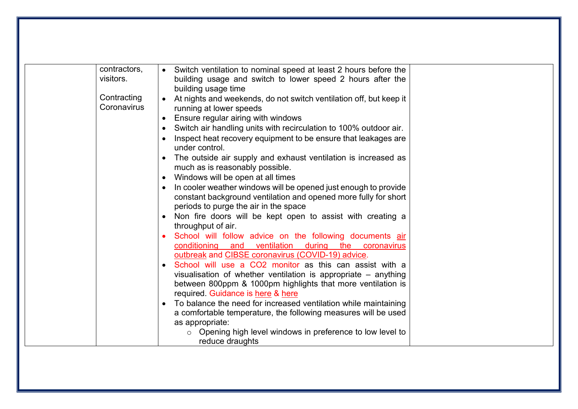| contractors,<br>visitors.  | Switch ventilation to nominal speed at least 2 hours before the<br>$\bullet$<br>building usage and switch to lower speed 2 hours after the<br>building usage time                                                               |  |
|----------------------------|---------------------------------------------------------------------------------------------------------------------------------------------------------------------------------------------------------------------------------|--|
| Contracting<br>Coronavirus | At nights and weekends, do not switch ventilation off, but keep it<br>running at lower speeds                                                                                                                                   |  |
|                            | • Ensure regular airing with windows<br>Switch air handling units with recirculation to 100% outdoor air.                                                                                                                       |  |
|                            | Inspect heat recovery equipment to be ensure that leakages are<br>under control.                                                                                                                                                |  |
|                            | The outside air supply and exhaust ventilation is increased as<br>much as is reasonably possible.                                                                                                                               |  |
|                            | • Windows will be open at all times                                                                                                                                                                                             |  |
|                            | In cooler weather windows will be opened just enough to provide<br>constant background ventilation and opened more fully for short<br>periods to purge the air in the space                                                     |  |
|                            | Non fire doors will be kept open to assist with creating a<br>throughput of air.                                                                                                                                                |  |
|                            | School will follow advice on the following documents air<br>conditioning and ventilation during the coronavirus<br>outbreak and CIBSE coronavirus (COVID-19) advice.                                                            |  |
|                            | • School will use a CO2 monitor as this can assist with a<br>visualisation of whether ventilation is appropriate - anything<br>between 800ppm & 1000pm highlights that more ventilation is<br>required. Guidance is here & here |  |
|                            | To balance the need for increased ventilation while maintaining<br>a comfortable temperature, the following measures will be used<br>as appropriate:                                                                            |  |
|                            | $\circ$ Opening high level windows in preference to low level to<br>reduce draughts                                                                                                                                             |  |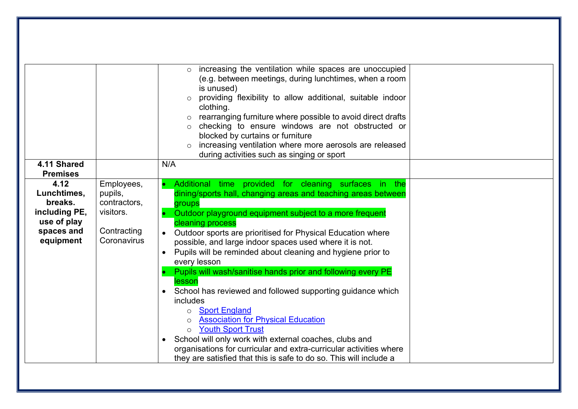|                        |                         | increasing the ventilation while spaces are unoccupied                               |
|------------------------|-------------------------|--------------------------------------------------------------------------------------|
|                        |                         | (e.g. between meetings, during lunchtimes, when a room                               |
|                        |                         | is unused)                                                                           |
|                        |                         | providing flexibility to allow additional, suitable indoor                           |
|                        |                         | clothing.                                                                            |
|                        |                         | rearranging furniture where possible to avoid direct drafts                          |
|                        |                         | checking to ensure windows are not obstructed or<br>blocked by curtains or furniture |
|                        |                         | increasing ventilation where more aerosols are released<br>$\circ$                   |
|                        |                         | during activities such as singing or sport                                           |
| 4.11 Shared            |                         | N/A                                                                                  |
| <b>Premises</b>        |                         |                                                                                      |
| 4.12                   | Employees,              | Additional time provided for cleaning surfaces in the                                |
| Lunchtimes,<br>breaks. | pupils,<br>contractors, | dining/sports hall, changing areas and teaching areas between                        |
| including PE,          | visitors.               | groups<br>Outdoor playground equipment subject to a more frequent                    |
| use of play            |                         | cleaning process                                                                     |
| spaces and             | Contracting             | Outdoor sports are prioritised for Physical Education where                          |
| equipment              | Coronavirus             | possible, and large indoor spaces used where it is not.                              |
|                        |                         | Pupils will be reminded about cleaning and hygiene prior to<br>$\bullet$             |
|                        |                         | every lesson                                                                         |
|                        |                         | Pupils will wash/sanitise hands prior and following every PE                         |
|                        |                         | lesson<br>School has reviewed and followed supporting guidance which                 |
|                        |                         | includes                                                                             |
|                        |                         | <b>Sport England</b><br>$\circ$                                                      |
|                        |                         | <b>Association for Physical Education</b>                                            |
|                        |                         | <b>Youth Sport Trust</b><br>$\circ$                                                  |
|                        |                         | School will only work with external coaches, clubs and                               |
|                        |                         | organisations for curricular and extra-curricular activities where                   |
|                        |                         | they are satisfied that this is safe to do so. This will include a                   |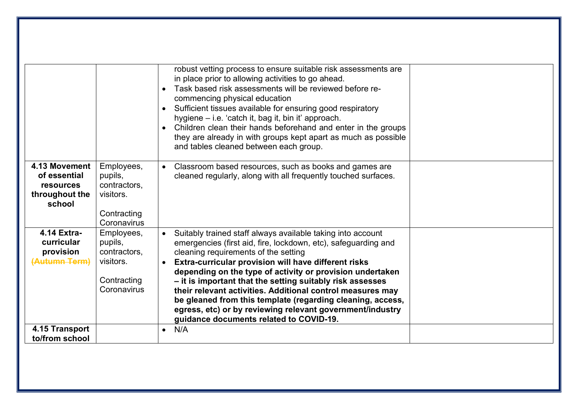|                                                              |                                                                                  | robust vetting process to ensure suitable risk assessments are<br>in place prior to allowing activities to go ahead.<br>Task based risk assessments will be reviewed before re-<br>commencing physical education<br>Sufficient tissues available for ensuring good respiratory<br>hygiene – i.e. 'catch it, bag it, bin it' approach.<br>Children clean their hands beforehand and enter in the groups<br>they are already in with groups kept apart as much as possible                                                                                                                                 |  |
|--------------------------------------------------------------|----------------------------------------------------------------------------------|----------------------------------------------------------------------------------------------------------------------------------------------------------------------------------------------------------------------------------------------------------------------------------------------------------------------------------------------------------------------------------------------------------------------------------------------------------------------------------------------------------------------------------------------------------------------------------------------------------|--|
| 4.13 Movement                                                | Employees,                                                                       | and tables cleaned between each group.<br>Classroom based resources, such as books and games are                                                                                                                                                                                                                                                                                                                                                                                                                                                                                                         |  |
| of essential<br><b>resources</b><br>throughout the<br>school | pupils,<br>contractors.<br>visitors.<br>Contracting<br>Coronavirus               | cleaned regularly, along with all frequently touched surfaces.                                                                                                                                                                                                                                                                                                                                                                                                                                                                                                                                           |  |
| 4.14 Extra-<br>curricular<br>provision<br>(Autumn-Term)      | Employees,<br>pupils,<br>contractors,<br>visitors.<br>Contracting<br>Coronavirus | Suitably trained staff always available taking into account<br>$\bullet$<br>emergencies (first aid, fire, lockdown, etc), safeguarding and<br>cleaning requirements of the setting<br>Extra-curricular provision will have different risks<br>depending on the type of activity or provision undertaken<br>- it is important that the setting suitably risk assesses<br>their relevant activities. Additional control measures may<br>be gleaned from this template (regarding cleaning, access,<br>egress, etc) or by reviewing relevant government/industry<br>guidance documents related to COVID-19. |  |
| 4.15 Transport<br>to/from school                             |                                                                                  | N/A<br>$\bullet$                                                                                                                                                                                                                                                                                                                                                                                                                                                                                                                                                                                         |  |